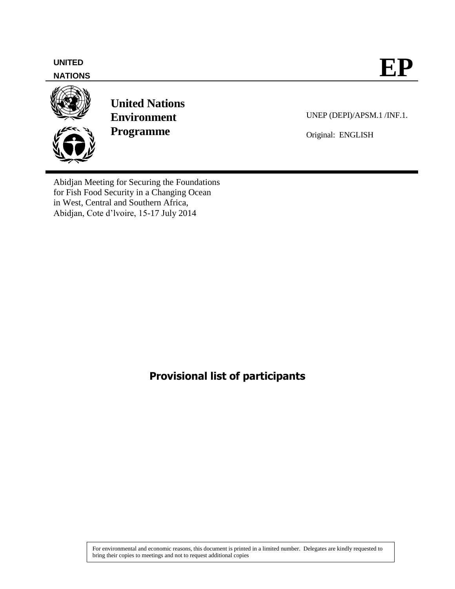# **NATIONS**



**United Nations Environment Programme**

UNEP (DEPI)/APSM.1 /INF.1.

Original: ENGLISH

Abidjan Meeting for Securing the Foundations for Fish Food Security in a Changing Ocean in West, Central and Southern Africa, Abidjan, Cote d'lvoire, 15-17 July 2014

**Provisional list of participants**

For environmental and economic reasons, this document is printed in a limited number. Delegates are kindly requested to bring their copies to meetings and not to request additional copies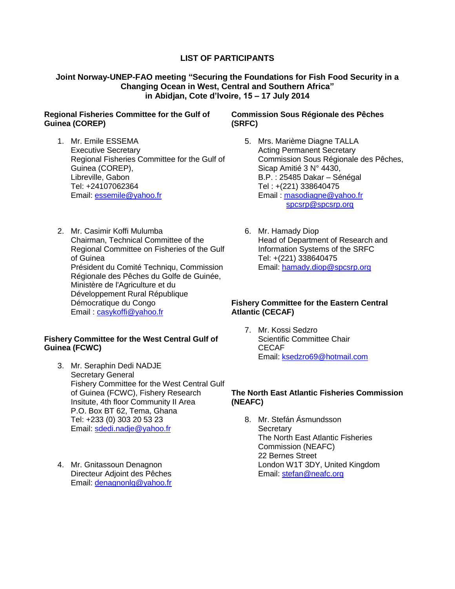# **LIST OF PARTICIPANTS**

# **Joint Norway-UNEP-FAO meeting "Securing the Foundations for Fish Food Security in a Changing Ocean in West, Central and Southern Africa" in Abidjan, Cote d'Ivoire, 15 – 17 July 2014**

### **Regional Fisheries Committee for the Gulf of Guinea (COREP)**

- 1. Mr. Emile ESSEMA Executive Secretary Regional Fisheries Committee for the Gulf of Guinea (COREP), Libreville, Gabon Tel: +24107062364 Email: [essemile@yahoo.fr](mailto:essemile@yahoo.fr)
- 2. Mr. Casimir Koffi Mulumba Chairman, Technical Committee of the Regional Committee on Fisheries of the Gulf of Guinea Président du Comité Techniqu, Commission Régionale des Pêches du Golfe de Guinée, Ministère de l'Agriculture et du Développement Rural République Démocratique du Congo Email : [casykoffi@yahoo.fr](mailto:casykoffi@yahoo.fr)

## **Fishery Committee for the West Central Gulf of Guinea (FCWC)**

- 3. Mr. Seraphin Dedi NADJE Secretary General Fishery Committee for the West Central Gulf of Guinea (FCWC), Fishery Research Insitute, 4th floor Community II Area P.O. Box BT 62, Tema, Ghana Tel: +233 (0) 303 20 53 23 Email: [sdedi.nadje@yahoo.fr](mailto:sdedi.nadje@yahoo.fr)
- 4. Mr. Gnitassoun Denagnon Directeur Adjoint des Pêches Email: [denagnonlg@yahoo.fr](mailto:denagnonlg@yahoo.fr)

### **Commission Sous Régionale des Pêches (SRFC)**

- 5. Mrs. Marième Diagne TALLA Acting Permanent Secretary Commission Sous Régionale des Pêches, Sicap Amitié 3 N° 4430, B.P. : 25485 Dakar – Sénégal Tel : +(221) 338640475 Email : [masodiagne@yahoo.fr](mailto:masodiagne@yahoo.fr) [spcsrp@spcsrp.org](mailto:spcsrp@spcsrp.org)
- 6. Mr. Hamady Diop Head of Department of Research and Information Systems of the SRFC Tel: +(221) 338640475 Email: [hamady.diop@spcsrp.org](mailto:hamady.diop@spcsrp.org)

#### **Fishery Committee for the Eastern Central Atlantic (CECAF)**

7. Mr. Kossi Sedzro Scientific Committee Chair CECAF Email: [ksedzro69@hotmail.com](mailto:ksedzro69@hotmail.com)

#### **The North East Atlantic Fisheries Commission (NEAFC)**

8. Mr. Stefán Ásmundsson **Secretary** The North East Atlantic Fisheries Commission (NEAFC) 22 Bernes Street London W1T 3DY, United Kingdom Email: [stefan@neafc.org](mailto:stefan@neafc.org)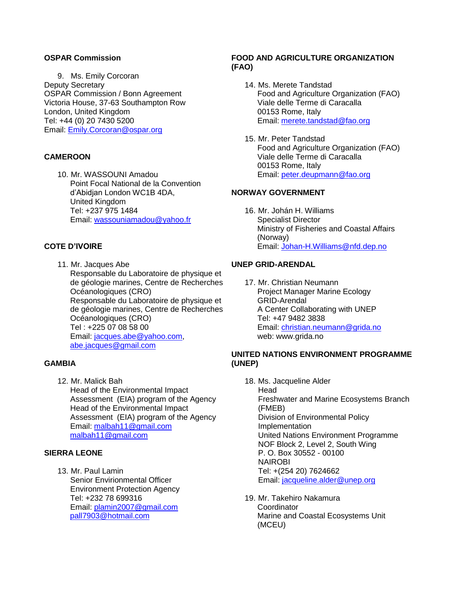#### **OSPAR Commission**

9. Ms. Emily Corcoran Deputy Secretary OSPAR Commission / Bonn Agreement Victoria House, 37-63 Southampton Row London, United Kingdom Tel: +44 (0) 20 7430 5200 Email: [Emily.Corcoran@ospar.org](mailto:Emily.Corcoran@ospar.org)

#### **CAMEROON**

10. Mr. WASSOUNI Amadou Point Focal National de la Convention d'Abidjan London WC1B 4DA, United Kingdom Tel: +237 975 1484 Email: [wassouniamadou@yahoo.fr](mailto:wassouniamadou@yahoo.fr)

# **COTE D'IVOIRE**

11. Mr. Jacques Abe Responsable du Laboratoire de physique et de géologie marines, Centre de Recherches Océanologiques (CRO) Responsable du Laboratoire de physique et de géologie marines, Centre de Recherches Océanologiques (CRO) Tel : +225 07 08 58 00 Email: [jacques.abe@yahoo.com,](mailto:jacques.abe@yahoo.com) [abe.jacques@gmail.com](mailto:abe.jacques@gmail.com)

#### **GAMBIA**

12. Mr. Malick Bah Head of the Environmental Impact Assessment (EIA) program of the Agency Head of the Environmental Impact Assessment (EIA) program of the Agency Email: [malbah11@gmail.com](mailto:malbah11@gmail.com) [malbah11@gmail.com](mailto:malbah11@gmail.com)

## **SIERRA LEONE**

13. Mr. Paul Lamin Senior Envirionmental Officer Environment Protection Agency Tel: +232 78 699316 Email: [plamin2007@gmail.com](mailto:plamin2007@gmail.com) [pall7903@hotmail.com](mailto:pall7903@hotmail.com)

### **FOOD AND AGRICULTURE ORGANIZATION (FAO)**

- 14. Ms. Merete Tandstad Food and Agriculture Organization (FAO) Viale delle Terme di Caracalla 00153 Rome, Italy Email: [merete.tandstad@fao.org](mailto:merete.tandstad@fao.org)
- 15. Mr. Peter Tandstad Food and Agriculture Organization (FAO) Viale delle Terme di Caracalla 00153 Rome, Italy Email: [peter.deupmann@fao.org](mailto:peter.deupmann@fao.org)

#### **NORWAY GOVERNMENT**

16. Mr. Johán H. Williams Specialist Director Ministry of Fisheries and Coastal Affairs (Norway) Email: [Johan-H.Williams@nfd.dep.no](mailto:Johan-H.Williams@nfd.dep.no)

# **UNEP GRID-ARENDAL**

17. Mr. Christian Neumann Project Manager Marine Ecology GRID-Arendal A Center Collaborating with UNEP Tel: +47 9482 3838 Email: [christian.neumann@grida.no](mailto:christian.neumann@grida.no) web: www.grida.no

### **UNITED NATIONS ENVIRONMENT PROGRAMME (UNEP)**

- 18. Ms. Jacqueline Alder Head Freshwater and Marine Ecosystems Branch (FMEB) Division of Environmental Policy Implementation United Nations Environment Programme NOF Block 2, Level 2, South Wing P. O. Box 30552 - 00100 NAIROBI Tel: +(254 20) 7624662 Email: [jacqueline.alder@unep.org](mailto:jacqueline.alder@unep.org)
- 19. Mr. Takehiro Nakamura **Coordinator** Marine and Coastal Ecosystems Unit (MCEU)